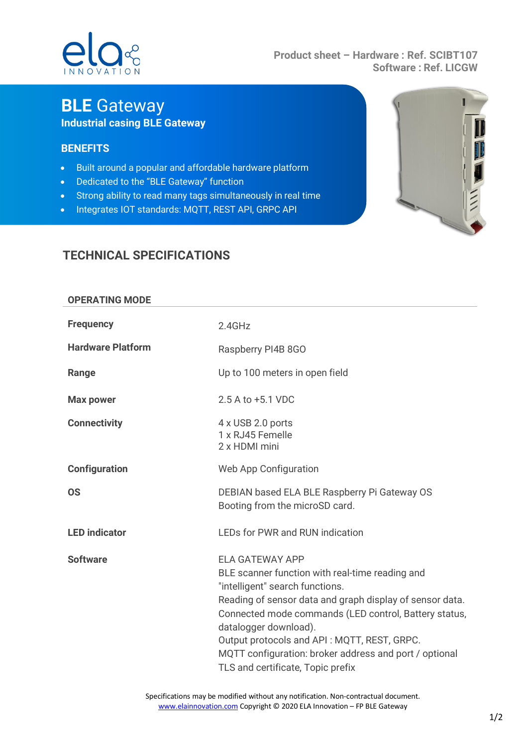# $\Omega$

#### **Product sheet – Hardware : Ref. SCIBT107 Software : Ref. LICGW**

## **BLE** Gateway **Industrial casing BLE Gateway**

### **BENEFITS**

- Built around a popular and affordable hardware platform
- Dedicated to the "BLE Gateway" function
- Strong ability to read many tags simultaneously in real time
- Integrates IOT standards: MQTT, REST API, GRPC API



## **TECHNICAL SPECIFICATIONS**

| <b>OPERATING MODE</b>    |                                                                                                                                                                                                                                                                                                                                                                                                          |
|--------------------------|----------------------------------------------------------------------------------------------------------------------------------------------------------------------------------------------------------------------------------------------------------------------------------------------------------------------------------------------------------------------------------------------------------|
| <b>Frequency</b>         | 2.4GHz                                                                                                                                                                                                                                                                                                                                                                                                   |
| <b>Hardware Platform</b> | Raspberry PI4B 8GO                                                                                                                                                                                                                                                                                                                                                                                       |
| Range                    | Up to 100 meters in open field                                                                                                                                                                                                                                                                                                                                                                           |
| <b>Max power</b>         | 2.5 A to +5.1 VDC                                                                                                                                                                                                                                                                                                                                                                                        |
| <b>Connectivity</b>      | 4 x USB 2.0 ports<br>1 x RJ45 Femelle<br>2 x HDMI mini                                                                                                                                                                                                                                                                                                                                                   |
| <b>Configuration</b>     | Web App Configuration                                                                                                                                                                                                                                                                                                                                                                                    |
| <b>OS</b>                | DEBIAN based ELA BLE Raspberry Pi Gateway OS<br>Booting from the microSD card.                                                                                                                                                                                                                                                                                                                           |
| <b>LED</b> indicator     | <b>LEDs for PWR and RUN indication</b>                                                                                                                                                                                                                                                                                                                                                                   |
| <b>Software</b>          | <b>ELA GATEWAY APP</b><br>BLE scanner function with real-time reading and<br>"intelligent" search functions.<br>Reading of sensor data and graph display of sensor data.<br>Connected mode commands (LED control, Battery status,<br>datalogger download).<br>Output protocols and API: MQTT, REST, GRPC.<br>MQTT configuration: broker address and port / optional<br>TLS and certificate, Topic prefix |

Specifications may be modified without any notification. Non-contractual document. [www.elainnovation.com](http://www.elainnovation.com/) Copyright © 2020 ELA Innovation - FP BLE Gateway